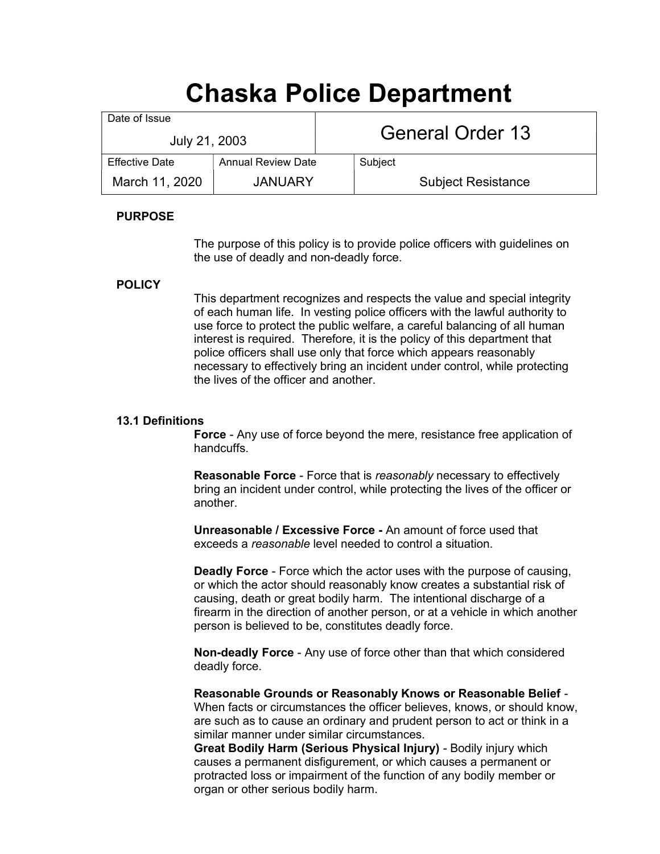# Chaska Police Department

| Date of Issue         |                           |                           |  |
|-----------------------|---------------------------|---------------------------|--|
| July 21, 2003         |                           | General Order 13          |  |
| <b>Effective Date</b> | <b>Annual Review Date</b> | Subject                   |  |
| March 11, 2020        | <b>JANUARY</b>            | <b>Subject Resistance</b> |  |

### PURPOSE

The purpose of this policy is to provide police officers with guidelines on the use of deadly and non-deadly force.

### **POLICY**

This department recognizes and respects the value and special integrity of each human life. In vesting police officers with the lawful authority to use force to protect the public welfare, a careful balancing of all human interest is required. Therefore, it is the policy of this department that police officers shall use only that force which appears reasonably necessary to effectively bring an incident under control, while protecting the lives of the officer and another.

### 13.1 Definitions

Force - Any use of force beyond the mere, resistance free application of handcuffs.

Reasonable Force - Force that is reasonably necessary to effectively bring an incident under control, while protecting the lives of the officer or another.

Unreasonable / Excessive Force - An amount of force used that exceeds a reasonable level needed to control a situation.

Deadly Force - Force which the actor uses with the purpose of causing, or which the actor should reasonably know creates a substantial risk of causing, death or great bodily harm. The intentional discharge of a firearm in the direction of another person, or at a vehicle in which another person is believed to be, constitutes deadly force.

Non-deadly Force - Any use of force other than that which considered deadly force.

Reasonable Grounds or Reasonably Knows or Reasonable Belief - When facts or circumstances the officer believes, knows, or should know, are such as to cause an ordinary and prudent person to act or think in a similar manner under similar circumstances.

Great Bodily Harm (Serious Physical Injury) - Bodily injury which causes a permanent disfigurement, or which causes a permanent or protracted loss or impairment of the function of any bodily member or organ or other serious bodily harm.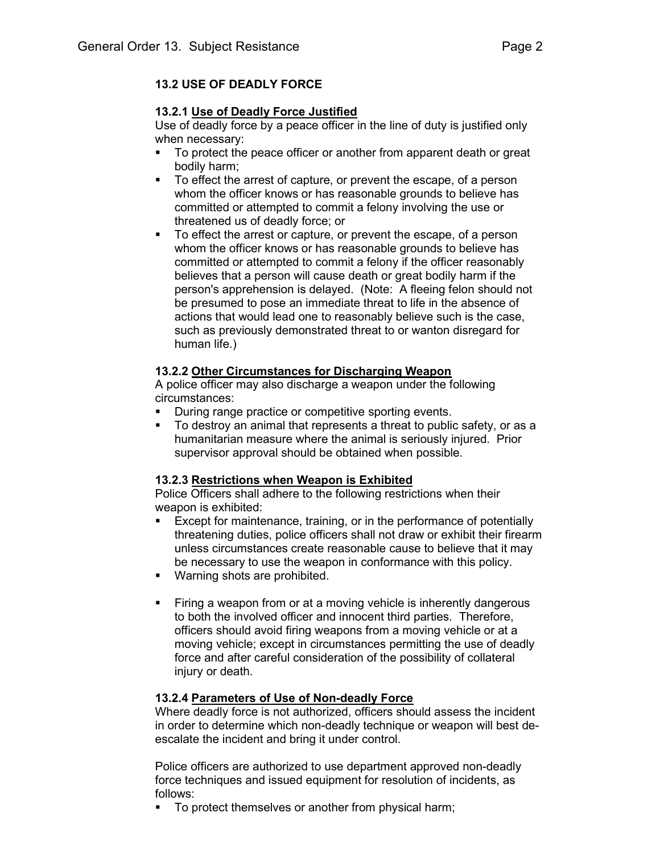# 13.2 USE OF DEADLY FORCE

### 13.2.1 Use of Deadly Force Justified

Use of deadly force by a peace officer in the line of duty is justified only when necessary:

- To protect the peace officer or another from apparent death or great bodily harm;
- To effect the arrest of capture, or prevent the escape, of a person whom the officer knows or has reasonable grounds to believe has committed or attempted to commit a felony involving the use or threatened us of deadly force; or
- To effect the arrest or capture, or prevent the escape, of a person whom the officer knows or has reasonable grounds to believe has committed or attempted to commit a felony if the officer reasonably believes that a person will cause death or great bodily harm if the person's apprehension is delayed. (Note: A fleeing felon should not be presumed to pose an immediate threat to life in the absence of actions that would lead one to reasonably believe such is the case, such as previously demonstrated threat to or wanton disregard for human life.)

### 13.2.2 Other Circumstances for Discharging Weapon

A police officer may also discharge a weapon under the following circumstances:

- **During range practice or competitive sporting events.**
- To destroy an animal that represents a threat to public safety, or as a humanitarian measure where the animal is seriously injured. Prior supervisor approval should be obtained when possible.

### 13.2.3 Restrictions when Weapon is Exhibited

Police Officers shall adhere to the following restrictions when their weapon is exhibited:

- Except for maintenance, training, or in the performance of potentially threatening duties, police officers shall not draw or exhibit their firearm unless circumstances create reasonable cause to believe that it may be necessary to use the weapon in conformance with this policy.
- **Warning shots are prohibited.**
- Firing a weapon from or at a moving vehicle is inherently dangerous to both the involved officer and innocent third parties. Therefore, officers should avoid firing weapons from a moving vehicle or at a moving vehicle; except in circumstances permitting the use of deadly force and after careful consideration of the possibility of collateral injury or death.

# 13.2.4 Parameters of Use of Non-deadly Force

Where deadly force is not authorized, officers should assess the incident in order to determine which non-deadly technique or weapon will best deescalate the incident and bring it under control.

Police officers are authorized to use department approved non-deadly force techniques and issued equipment for resolution of incidents, as follows:

**To protect themselves or another from physical harm;**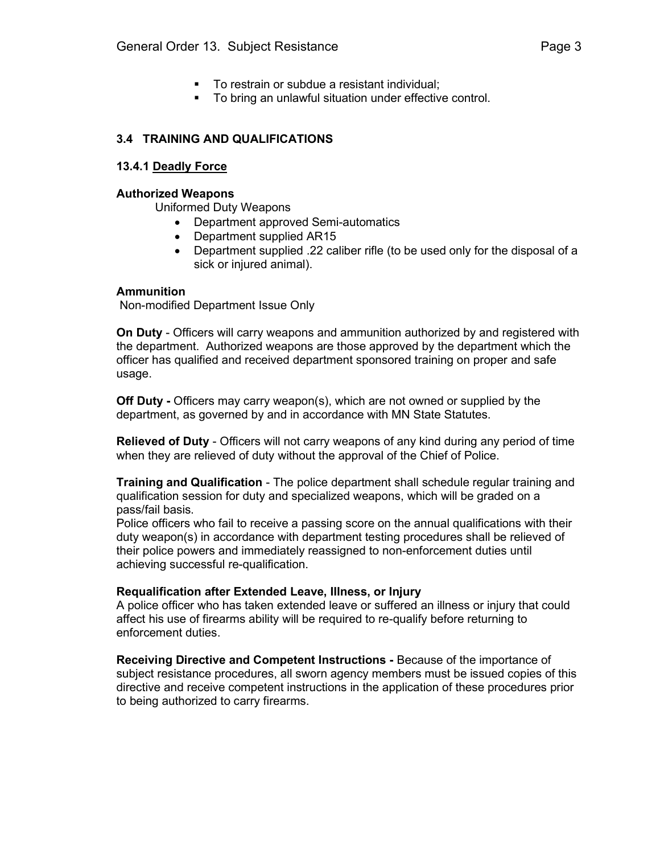- To restrain or subdue a resistant individual:
- To bring an unlawful situation under effective control.

### 3.4 TRAINING AND QUALIFICATIONS

### 13.4.1 Deadly Force

### Authorized Weapons

Uniformed Duty Weapons

- Department approved Semi-automatics
- Department supplied AR15
- Department supplied .22 caliber rifle (to be used only for the disposal of a sick or injured animal).

### **Ammunition**

Non-modified Department Issue Only

On Duty - Officers will carry weapons and ammunition authorized by and registered with the department. Authorized weapons are those approved by the department which the officer has qualified and received department sponsored training on proper and safe usage.

**Off Duty** - Officers may carry weapon(s), which are not owned or supplied by the department, as governed by and in accordance with MN State Statutes.

Relieved of Duty - Officers will not carry weapons of any kind during any period of time when they are relieved of duty without the approval of the Chief of Police.

**Training and Qualification** - The police department shall schedule regular training and qualification session for duty and specialized weapons, which will be graded on a pass/fail basis.

Police officers who fail to receive a passing score on the annual qualifications with their duty weapon(s) in accordance with department testing procedures shall be relieved of their police powers and immediately reassigned to non-enforcement duties until achieving successful re-qualification.

### Requalification after Extended Leave, Illness, or Injury

A police officer who has taken extended leave or suffered an illness or injury that could affect his use of firearms ability will be required to re-qualify before returning to enforcement duties.

Receiving Directive and Competent Instructions - Because of the importance of subject resistance procedures, all sworn agency members must be issued copies of this directive and receive competent instructions in the application of these procedures prior to being authorized to carry firearms.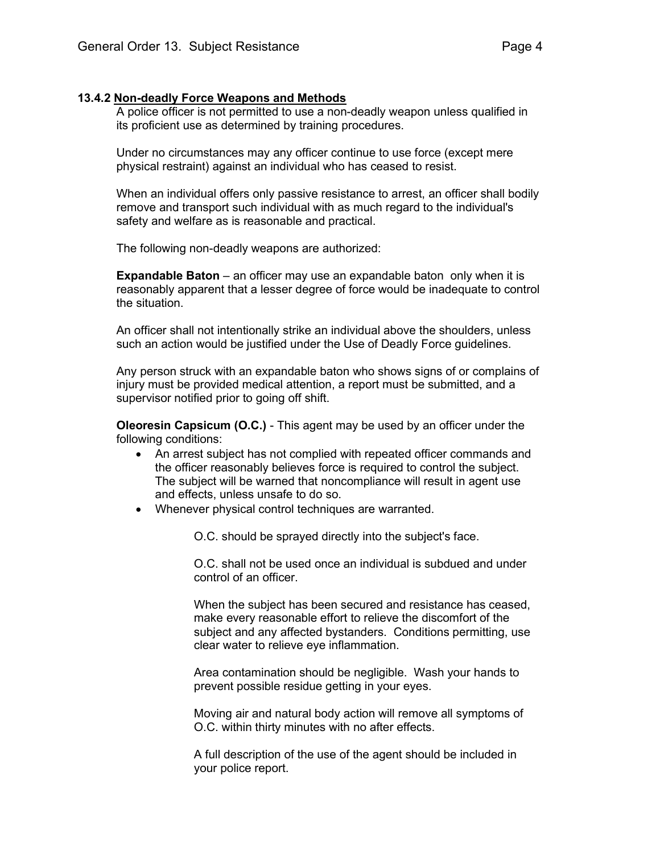### 13.4.2 Non-deadly Force Weapons and Methods

A police officer is not permitted to use a non-deadly weapon unless qualified in its proficient use as determined by training procedures.

Under no circumstances may any officer continue to use force (except mere physical restraint) against an individual who has ceased to resist.

When an individual offers only passive resistance to arrest, an officer shall bodily remove and transport such individual with as much regard to the individual's safety and welfare as is reasonable and practical.

The following non-deadly weapons are authorized:

Expandable Baton – an officer may use an expandable baton only when it is reasonably apparent that a lesser degree of force would be inadequate to control the situation.

An officer shall not intentionally strike an individual above the shoulders, unless such an action would be justified under the Use of Deadly Force guidelines.

Any person struck with an expandable baton who shows signs of or complains of injury must be provided medical attention, a report must be submitted, and a supervisor notified prior to going off shift.

Oleoresin Capsicum (O.C.) - This agent may be used by an officer under the following conditions:

- An arrest subject has not complied with repeated officer commands and the officer reasonably believes force is required to control the subject. The subject will be warned that noncompliance will result in agent use and effects, unless unsafe to do so.
- Whenever physical control techniques are warranted.

O.C. should be sprayed directly into the subject's face.

O.C. shall not be used once an individual is subdued and under control of an officer.

When the subject has been secured and resistance has ceased, make every reasonable effort to relieve the discomfort of the subject and any affected bystanders. Conditions permitting, use clear water to relieve eye inflammation.

Area contamination should be negligible. Wash your hands to prevent possible residue getting in your eyes.

Moving air and natural body action will remove all symptoms of O.C. within thirty minutes with no after effects.

A full description of the use of the agent should be included in your police report.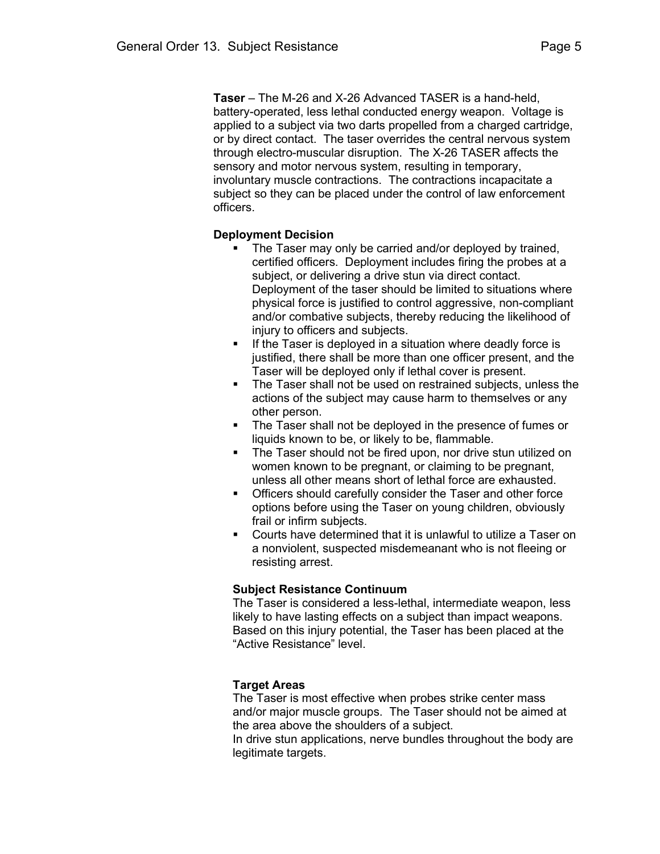Taser – The M-26 and X-26 Advanced TASER is a hand-held, battery-operated, less lethal conducted energy weapon. Voltage is applied to a subject via two darts propelled from a charged cartridge, or by direct contact. The taser overrides the central nervous system through electro-muscular disruption. The X-26 TASER affects the sensory and motor nervous system, resulting in temporary, involuntary muscle contractions. The contractions incapacitate a subject so they can be placed under the control of law enforcement officers.

### Deployment Decision

- **The Taser may only be carried and/or deployed by trained,** certified officers. Deployment includes firing the probes at a subject, or delivering a drive stun via direct contact. Deployment of the taser should be limited to situations where physical force is justified to control aggressive, non-compliant and/or combative subjects, thereby reducing the likelihood of injury to officers and subjects.
- **If the Taser is deployed in a situation where deadly force is** justified, there shall be more than one officer present, and the Taser will be deployed only if lethal cover is present.
- The Taser shall not be used on restrained subjects, unless the actions of the subject may cause harm to themselves or any other person.
- The Taser shall not be deployed in the presence of fumes or liquids known to be, or likely to be, flammable.
- The Taser should not be fired upon, nor drive stun utilized on women known to be pregnant, or claiming to be pregnant, unless all other means short of lethal force are exhausted.
- **Officers should carefully consider the Taser and other force** options before using the Taser on young children, obviously frail or infirm subjects.
- Courts have determined that it is unlawful to utilize a Taser on a nonviolent, suspected misdemeanant who is not fleeing or resisting arrest.

### Subject Resistance Continuum

The Taser is considered a less-lethal, intermediate weapon, less likely to have lasting effects on a subject than impact weapons. Based on this injury potential, the Taser has been placed at the "Active Resistance" level.

### Target Areas

The Taser is most effective when probes strike center mass and/or major muscle groups. The Taser should not be aimed at the area above the shoulders of a subject.

In drive stun applications, nerve bundles throughout the body are legitimate targets.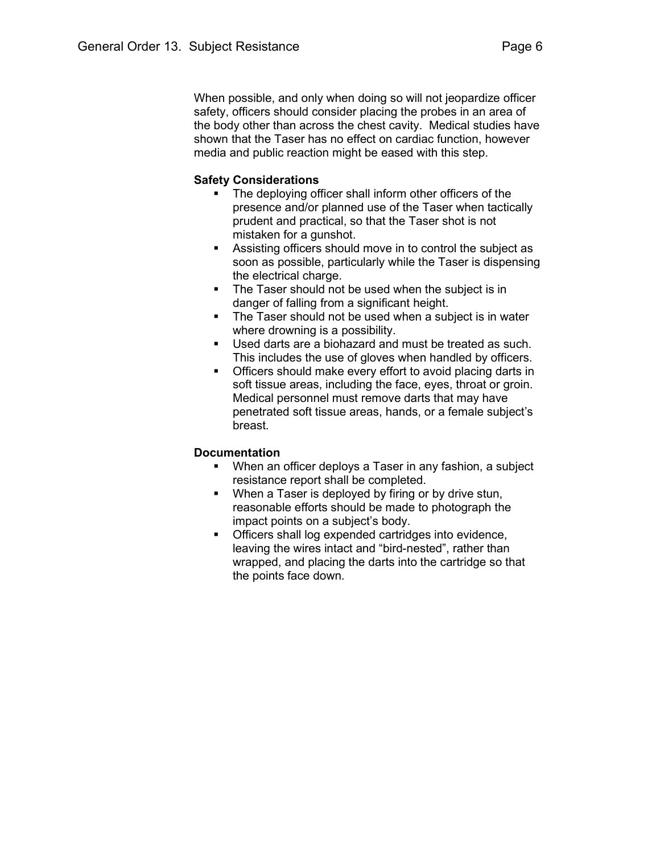When possible, and only when doing so will not jeopardize officer safety, officers should consider placing the probes in an area of the body other than across the chest cavity. Medical studies have shown that the Taser has no effect on cardiac function, however media and public reaction might be eased with this step.

### Safety Considerations

- The deploying officer shall inform other officers of the presence and/or planned use of the Taser when tactically prudent and practical, so that the Taser shot is not mistaken for a gunshot.
- **Assisting officers should move in to control the subject as** soon as possible, particularly while the Taser is dispensing the electrical charge.
- The Taser should not be used when the subject is in danger of falling from a significant height.
- The Taser should not be used when a subject is in water where drowning is a possibility.
- Used darts are a biohazard and must be treated as such. This includes the use of gloves when handled by officers.
- **Officers should make every effort to avoid placing darts in** soft tissue areas, including the face, eyes, throat or groin. Medical personnel must remove darts that may have penetrated soft tissue areas, hands, or a female subject's breast.

### Documentation

- When an officer deploys a Taser in any fashion, a subject resistance report shall be completed.
- **When a Taser is deployed by firing or by drive stun,** reasonable efforts should be made to photograph the impact points on a subject's body.
- Officers shall log expended cartridges into evidence, leaving the wires intact and "bird-nested", rather than wrapped, and placing the darts into the cartridge so that the points face down.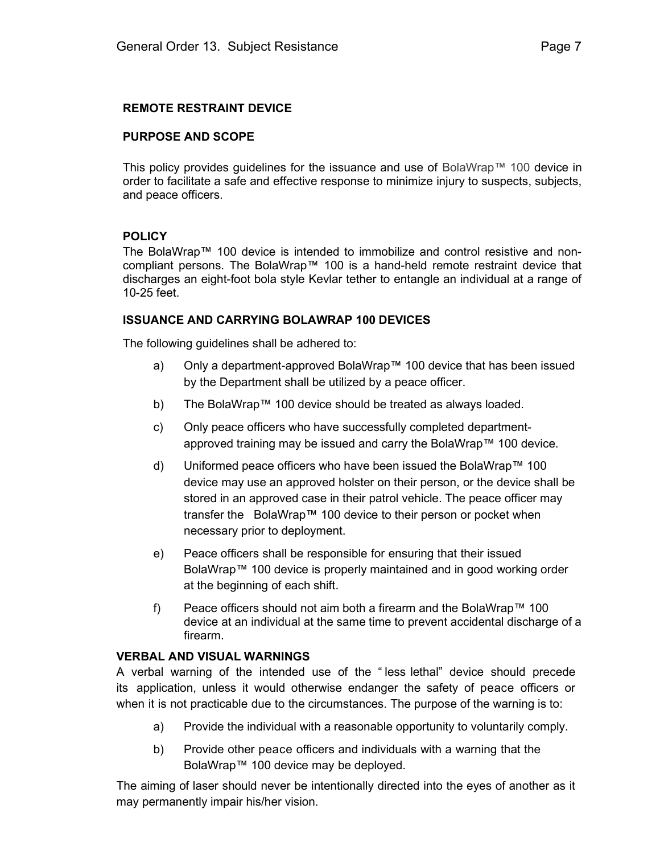### REMOTE RESTRAINT DEVICE

### PURPOSE AND SCOPE

This policy provides guidelines for the issuance and use of BolaWrap™ 100 device in order to facilitate a safe and effective response to minimize injury to suspects, subjects, and peace officers.

### **POLICY**

The BolaWrap™ 100 device is intended to immobilize and control resistive and noncompliant persons. The BolaWrap™ 100 is a hand-held remote restraint device that discharges an eight-foot bola style Kevlar tether to entangle an individual at a range of 10-25 feet.

### ISSUANCE AND CARRYING BOLAWRAP 100 DEVICES

The following guidelines shall be adhered to:

- a) Only a department-approved BolaWrap™ 100 device that has been issued by the Department shall be utilized by a peace officer.
- b) The BolaWrap™ 100 device should be treated as always loaded.
- c) Only peace officers who have successfully completed departmentapproved training may be issued and carry the BolaWrap™ 100 device.
- d) Uniformed peace officers who have been issued the BolaWrap™ 100 device may use an approved holster on their person, or the device shall be stored in an approved case in their patrol vehicle. The peace officer may transfer the BolaWrap™ 100 device to their person or pocket when necessary prior to deployment.
- e) Peace officers shall be responsible for ensuring that their issued BolaWrap™ 100 device is properly maintained and in good working order at the beginning of each shift.
- f) Peace officers should not aim both a firearm and the BolaWrap™ 100 device at an individual at the same time to prevent accidental discharge of a firearm.

### VERBAL AND VISUAL WARNINGS

A verbal warning of the intended use of the " less lethal" device should precede its application, unless it would otherwise endanger the safety of peace officers or when it is not practicable due to the circumstances. The purpose of the warning is to:

- a) Provide the individual with a reasonable opportunity to voluntarily comply.
- b) Provide other peace officers and individuals with a warning that the BolaWrap™ 100 device may be deployed.

The aiming of laser should never be intentionally directed into the eyes of another as it may permanently impair his/her vision.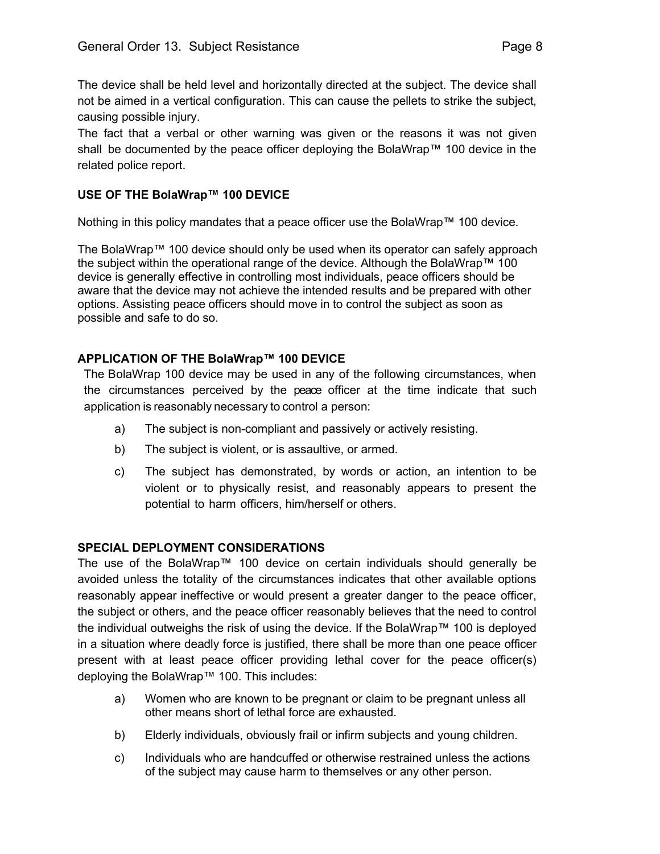The device shall be held level and horizontally directed at the subject. The device shall not be aimed in a vertical configuration. This can cause the pellets to strike the subject, causing possible injury.

The fact that a verbal or other warning was given or the reasons it was not given shall be documented by the peace officer deploying the BolaWrap™ 100 device in the related police report.

# USE OF THE BolaWrap™ 100 DEVICE

Nothing in this policy mandates that a peace officer use the BolaWrap™ 100 device.

The BolaWrap™ 100 device should only be used when its operator can safely approach the subject within the operational range of the device. Although the BolaWrap™ 100 device is generally effective in controlling most individuals, peace officers should be aware that the device may not achieve the intended results and be prepared with other options. Assisting peace officers should move in to control the subject as soon as possible and safe to do so.

### APPLICATION OF THE BolaWrap™ 100 DEVICE

The BolaWrap 100 device may be used in any of the following circumstances, when the circumstances perceived by the peace officer at the time indicate that such application is reasonably necessary to control a person:

- a) The subject is non-compliant and passively or actively resisting.
- b) The subject is violent, or is assaultive, or armed.
- c) The subject has demonstrated, by words or action, an intention to be violent or to physically resist, and reasonably appears to present the potential to harm officers, him/herself or others.

### SPECIAL DEPLOYMENT CONSIDERATIONS

The use of the BolaWrap™ 100 device on certain individuals should generally be avoided unless the totality of the circumstances indicates that other available options reasonably appear ineffective or would present a greater danger to the peace officer, the subject or others, and the peace officer reasonably believes that the need to control the individual outweighs the risk of using the device. If the BolaWrap™ 100 is deployed in a situation where deadly force is justified, there shall be more than one peace officer present with at least peace officer providing lethal cover for the peace officer(s) deploying the BolaWrap™ 100. This includes:

- a) Women who are known to be pregnant or claim to be pregnant unless all other means short of lethal force are exhausted.
- b) Elderly individuals, obviously frail or infirm subjects and young children.
- c) Individuals who are handcuffed or otherwise restrained unless the actions of the subject may cause harm to themselves or any other person.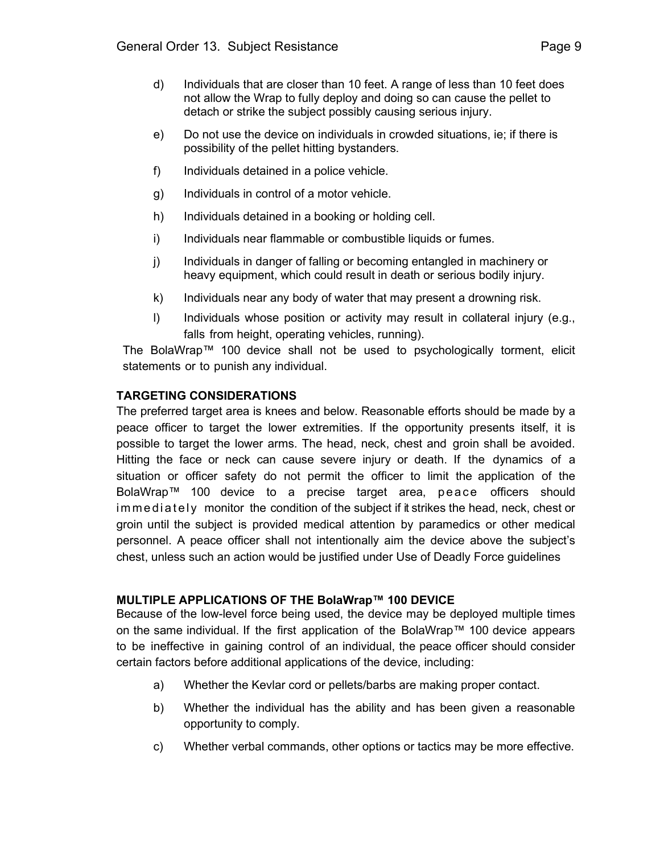- d) Individuals that are closer than 10 feet. A range of less than 10 feet does not allow the Wrap to fully deploy and doing so can cause the pellet to detach or strike the subject possibly causing serious injury.
- e) Do not use the device on individuals in crowded situations, ie; if there is possibility of the pellet hitting bystanders.
- f) Individuals detained in a police vehicle.
- g) Individuals in control of a motor vehicle.
- h) Individuals detained in a booking or holding cell.
- i) Individuals near flammable or combustible liquids or fumes.
- j) Individuals in danger of falling or becoming entangled in machinery or heavy equipment, which could result in death or serious bodily injury.
- k) Individuals near any body of water that may present a drowning risk.
- l) Individuals whose position or activity may result in collateral injury (e.g., falls from height, operating vehicles, running).

The BolaWrap™ 100 device shall not be used to psychologically torment, elicit statements or to punish any individual.

### TARGETING CONSIDERATIONS

The preferred target area is knees and below. Reasonable efforts should be made by a peace officer to target the lower extremities. If the opportunity presents itself, it is possible to target the lower arms. The head, neck, chest and groin shall be avoided. Hitting the face or neck can cause severe injury or death. If the dynamics of a situation or officer safety do not permit the officer to limit the application of the BolaWrap™ 100 device to a precise target area, peace officers should im mediately monitor the condition of the subject if it strikes the head, neck, chest or groin until the subject is provided medical attention by paramedics or other medical personnel. A peace officer shall not intentionally aim the device above the subject's chest, unless such an action would be justified under Use of Deadly Force guidelines

### MULTIPLE APPLICATIONS OF THE BolaWrap™ 100 DEVICE

Because of the low-level force being used, the device may be deployed multiple times on the same individual. If the first application of the BolaWrap™ 100 device appears to be ineffective in gaining control of an individual, the peace officer should consider certain factors before additional applications of the device, including:

- a) Whether the Kevlar cord or pellets/barbs are making proper contact.
- b) Whether the individual has the ability and has been given a reasonable opportunity to comply.
- c) Whether verbal commands, other options or tactics may be more effective.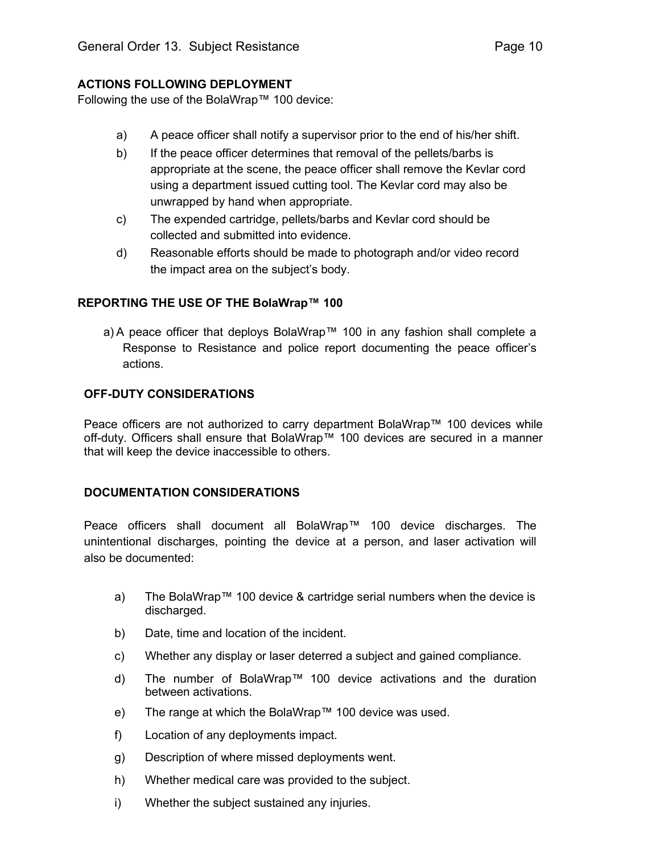### ACTIONS FOLLOWING DEPLOYMENT

Following the use of the BolaWrap™ 100 device:

- a) A peace officer shall notify a supervisor prior to the end of his/her shift.
- b) If the peace officer determines that removal of the pellets/barbs is appropriate at the scene, the peace officer shall remove the Kevlar cord using a department issued cutting tool. The Kevlar cord may also be unwrapped by hand when appropriate.
- c) The expended cartridge, pellets/barbs and Kevlar cord should be collected and submitted into evidence.
- d) Reasonable efforts should be made to photograph and/or video record the impact area on the subject's body.

### REPORTING THE USE OF THE BolaWrap™ 100

a) A peace officer that deploys BolaWrap™ 100 in any fashion shall complete a Response to Resistance and police report documenting the peace officer's actions.

### OFF-DUTY CONSIDERATIONS

Peace officers are not authorized to carry department BolaWrap™ 100 devices while off-duty. Officers shall ensure that BolaWrap™ 100 devices are secured in a manner that will keep the device inaccessible to others.

### DOCUMENTATION CONSIDERATIONS

Peace officers shall document all BolaWrap™ 100 device discharges. The unintentional discharges, pointing the device at a person, and laser activation will also be documented:

- a) The BolaWrap™ 100 device & cartridge serial numbers when the device is discharged.
- b) Date, time and location of the incident.
- c) Whether any display or laser deterred a subject and gained compliance.
- d) The number of BolaWrap™ 100 device activations and the duration between activations.
- e) The range at which the BolaWrap™ 100 device was used.
- f) Location of any deployments impact.
- g) Description of where missed deployments went.
- h) Whether medical care was provided to the subject.
- i) Whether the subject sustained any injuries.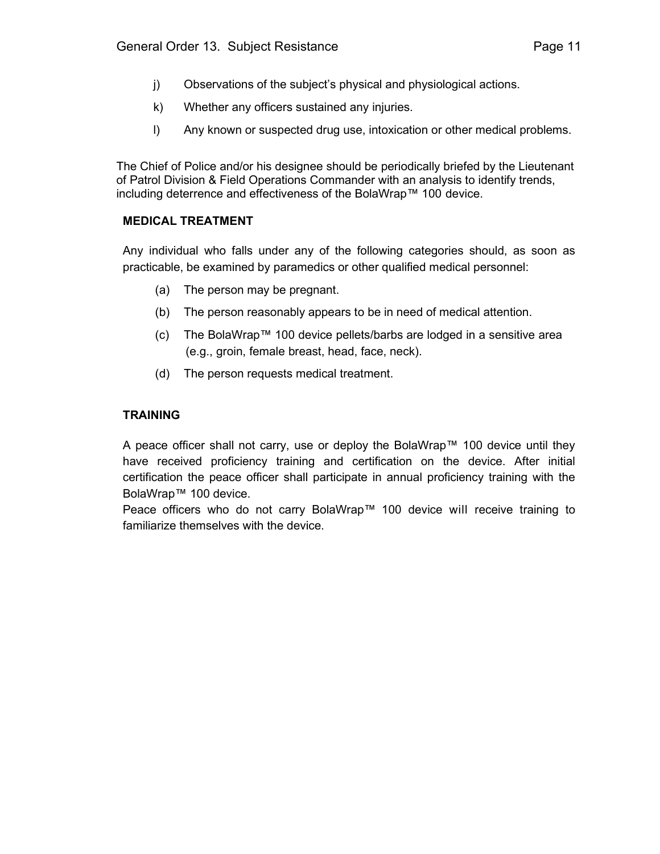- j) Observations of the subject's physical and physiological actions.
- k) Whether any officers sustained any injuries.
- l) Any known or suspected drug use, intoxication or other medical problems.

The Chief of Police and/or his designee should be periodically briefed by the Lieutenant of Patrol Division & Field Operations Commander with an analysis to identify trends, including deterrence and effectiveness of the BolaWrap™ 100 device.

### MEDICAL TREATMENT

Any individual who falls under any of the following categories should, as soon as practicable, be examined by paramedics or other qualified medical personnel:

- (a) The person may be pregnant.
- (b) The person reasonably appears to be in need of medical attention.
- (c) The BolaWrap™ 100 device pellets/barbs are lodged in a sensitive area (e.g., groin, female breast, head, face, neck).
- (d) The person requests medical treatment.

### TRAINING

A peace officer shall not carry, use or deploy the BolaWrap™ 100 device until they have received proficiency training and certification on the device. After initial certification the peace officer shall participate in annual proficiency training with the BolaWrap™ 100 device.

Peace officers who do not carry BolaWrap™ 100 device will receive training to familiarize themselves with the device.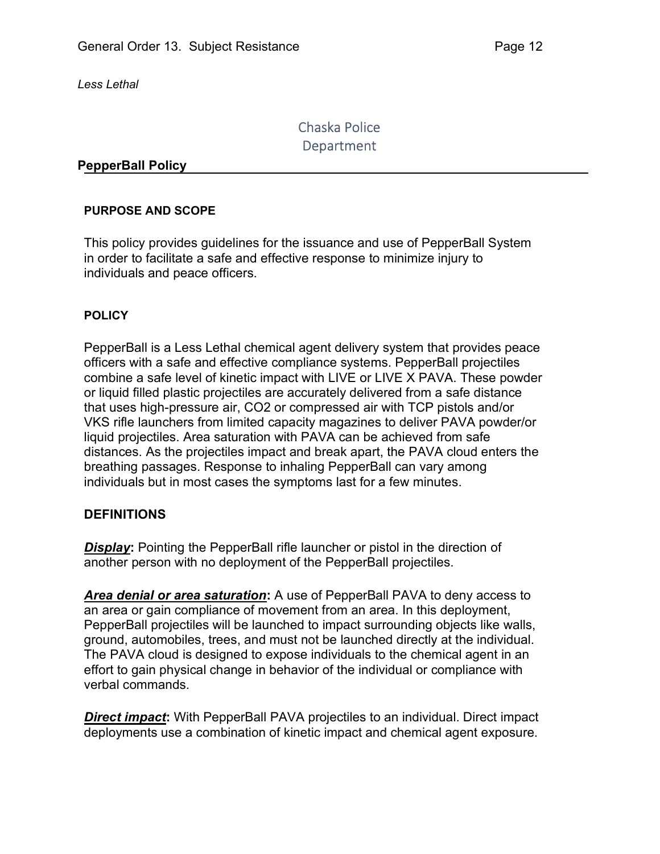Less Lethal

# Chaska Police Department

# PepperBall Policy

# PURPOSE AND SCOPE

This policy provides guidelines for the issuance and use of PepperBall System in order to facilitate a safe and effective response to minimize injury to individuals and peace officers.

# **POLICY**

PepperBall is a Less Lethal chemical agent delivery system that provides peace officers with a safe and effective compliance systems. PepperBall projectiles combine a safe level of kinetic impact with LIVE or LIVE X PAVA. These powder or liquid filled plastic projectiles are accurately delivered from a safe distance that uses high-pressure air, CO2 or compressed air with TCP pistols and/or VKS rifle launchers from limited capacity magazines to deliver PAVA powder/or liquid projectiles. Area saturation with PAVA can be achieved from safe distances. As the projectiles impact and break apart, the PAVA cloud enters the breathing passages. Response to inhaling PepperBall can vary among individuals but in most cases the symptoms last for a few minutes.

# **DEFINITIONS**

**Display:** Pointing the PepperBall rifle launcher or pistol in the direction of another person with no deployment of the PepperBall projectiles.

**Area denial or area saturation:** A use of PepperBall PAVA to deny access to an area or gain compliance of movement from an area. In this deployment, PepperBall projectiles will be launched to impact surrounding objects like walls, ground, automobiles, trees, and must not be launched directly at the individual. The PAVA cloud is designed to expose individuals to the chemical agent in an effort to gain physical change in behavior of the individual or compliance with verbal commands.

**Direct impact:** With PepperBall PAVA projectiles to an individual. Direct impact deployments use a combination of kinetic impact and chemical agent exposure.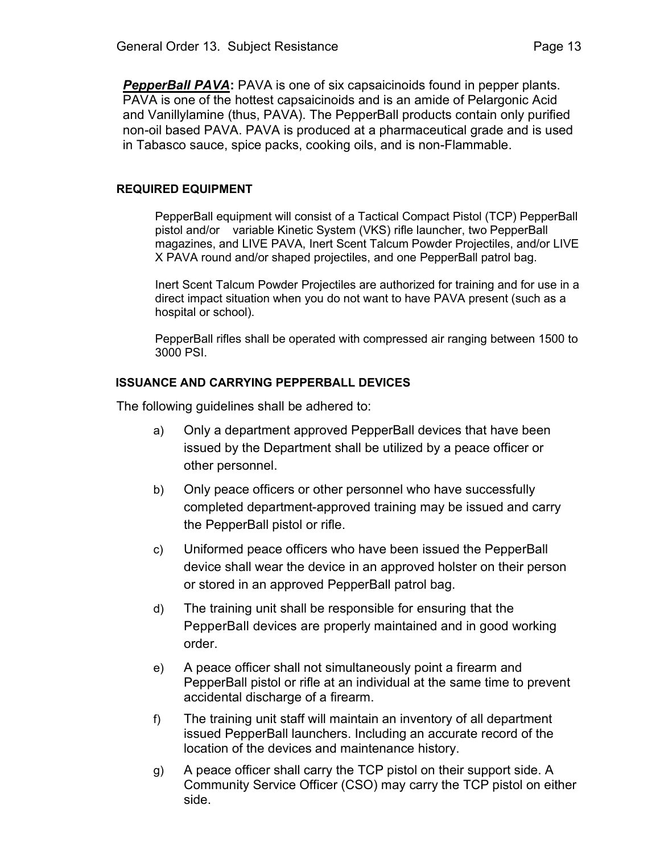**PepperBall PAVA:** PAVA is one of six capsaicinoids found in pepper plants. PAVA is one of the hottest capsaicinoids and is an amide of Pelargonic Acid and Vanillylamine (thus, PAVA). The PepperBall products contain only purified non-oil based PAVA. PAVA is produced at a pharmaceutical grade and is used in Tabasco sauce, spice packs, cooking oils, and is non-Flammable.

### REQUIRED EQUIPMENT

PepperBall equipment will consist of a Tactical Compact Pistol (TCP) PepperBall pistol and/or variable Kinetic System (VKS) rifle launcher, two PepperBall magazines, and LIVE PAVA, Inert Scent Talcum Powder Projectiles, and/or LIVE X PAVA round and/or shaped projectiles, and one PepperBall patrol bag.

 Inert Scent Talcum Powder Projectiles are authorized for training and for use in a direct impact situation when you do not want to have PAVA present (such as a hospital or school).

PepperBall rifles shall be operated with compressed air ranging between 1500 to 3000 PSI.

### ISSUANCE AND CARRYING PEPPERBALL DEVICES

The following guidelines shall be adhered to:

- a) Only a department approved PepperBall devices that have been issued by the Department shall be utilized by a peace officer or other personnel.
- b) Only peace officers or other personnel who have successfully completed department-approved training may be issued and carry the PepperBall pistol or rifle.
- c) Uniformed peace officers who have been issued the PepperBall device shall wear the device in an approved holster on their person or stored in an approved PepperBall patrol bag.
- d) The training unit shall be responsible for ensuring that the PepperBall devices are properly maintained and in good working order.
- e) A peace officer shall not simultaneously point a firearm and PepperBall pistol or rifle at an individual at the same time to prevent accidental discharge of a firearm.
- f) The training unit staff will maintain an inventory of all department issued PepperBall launchers. Including an accurate record of the location of the devices and maintenance history.
- g) A peace officer shall carry the TCP pistol on their support side. A Community Service Officer (CSO) may carry the TCP pistol on either side.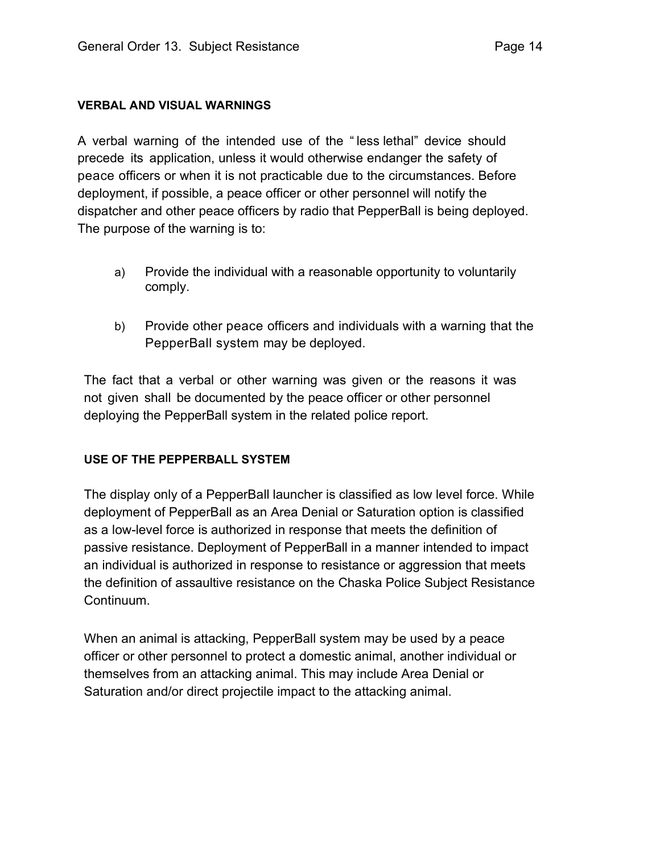### VERBAL AND VISUAL WARNINGS

A verbal warning of the intended use of the " less lethal" device should precede its application, unless it would otherwise endanger the safety of peace officers or when it is not practicable due to the circumstances. Before deployment, if possible, a peace officer or other personnel will notify the dispatcher and other peace officers by radio that PepperBall is being deployed. The purpose of the warning is to:

- a) Provide the individual with a reasonable opportunity to voluntarily comply.
- b) Provide other peace officers and individuals with a warning that the PepperBall system may be deployed.

The fact that a verbal or other warning was given or the reasons it was not given shall be documented by the peace officer or other personnel deploying the PepperBall system in the related police report.

# USE OF THE PEPPERBALL SYSTEM

The display only of a PepperBall launcher is classified as low level force. While deployment of PepperBall as an Area Denial or Saturation option is classified as a low-level force is authorized in response that meets the definition of passive resistance. Deployment of PepperBall in a manner intended to impact an individual is authorized in response to resistance or aggression that meets the definition of assaultive resistance on the Chaska Police Subject Resistance Continuum.

When an animal is attacking, PepperBall system may be used by a peace officer or other personnel to protect a domestic animal, another individual or themselves from an attacking animal. This may include Area Denial or Saturation and/or direct projectile impact to the attacking animal.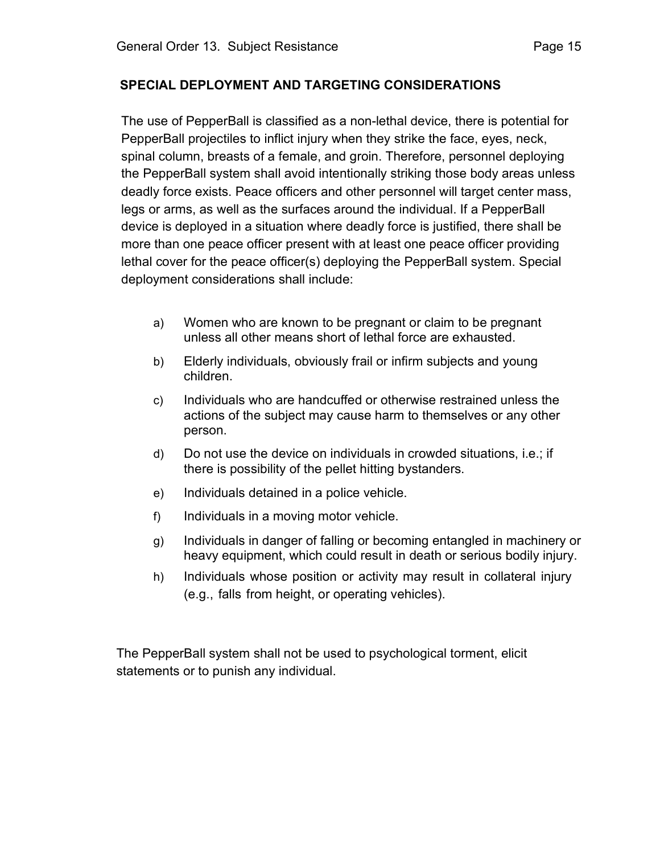# SPECIAL DEPLOYMENT AND TARGETING CONSIDERATIONS

The use of PepperBall is classified as a non-lethal device, there is potential for PepperBall projectiles to inflict injury when they strike the face, eyes, neck, spinal column, breasts of a female, and groin. Therefore, personnel deploying the PepperBall system shall avoid intentionally striking those body areas unless deadly force exists. Peace officers and other personnel will target center mass, legs or arms, as well as the surfaces around the individual. If a PepperBall device is deployed in a situation where deadly force is justified, there shall be more than one peace officer present with at least one peace officer providing lethal cover for the peace officer(s) deploying the PepperBall system. Special deployment considerations shall include:

- a) Women who are known to be pregnant or claim to be pregnant unless all other means short of lethal force are exhausted.
- b) Elderly individuals, obviously frail or infirm subjects and young children.
- c) Individuals who are handcuffed or otherwise restrained unless the actions of the subject may cause harm to themselves or any other person.
- d) Do not use the device on individuals in crowded situations, i.e.; if there is possibility of the pellet hitting bystanders.
- e) Individuals detained in a police vehicle.
- f) Individuals in a moving motor vehicle.
- g) Individuals in danger of falling or becoming entangled in machinery or heavy equipment, which could result in death or serious bodily injury.
- h) Individuals whose position or activity may result in collateral injury (e.g., falls from height, or operating vehicles).

The PepperBall system shall not be used to psychological torment, elicit statements or to punish any individual.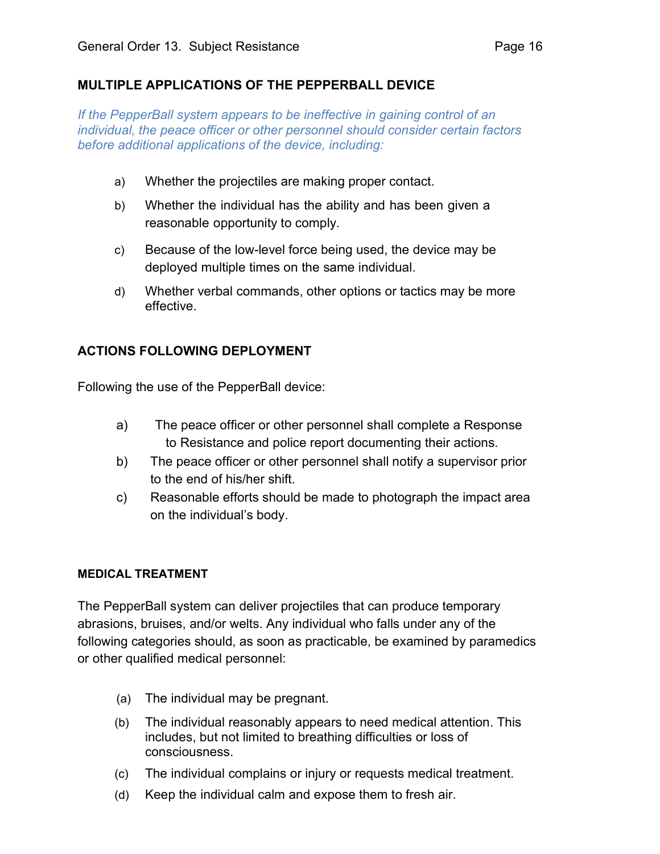# MULTIPLE APPLICATIONS OF THE PEPPERBALL DEVICE

If the PepperBall system appears to be ineffective in gaining control of an individual, the peace officer or other personnel should consider certain factors before additional applications of the device, including:

- a) Whether the projectiles are making proper contact.
- b) Whether the individual has the ability and has been given a reasonable opportunity to comply.
- c) Because of the low-level force being used, the device may be deployed multiple times on the same individual.
- d) Whether verbal commands, other options or tactics may be more effective.

# ACTIONS FOLLOWING DEPLOYMENT

Following the use of the PepperBall device:

- a) The peace officer or other personnel shall complete a Response to Resistance and police report documenting their actions.
- b) The peace officer or other personnel shall notify a supervisor prior to the end of his/her shift.
- c) Reasonable efforts should be made to photograph the impact area on the individual's body.

# MEDICAL TREATMENT

The PepperBall system can deliver projectiles that can produce temporary abrasions, bruises, and/or welts. Any individual who falls under any of the following categories should, as soon as practicable, be examined by paramedics or other qualified medical personnel:

- (a) The individual may be pregnant.
- (b) The individual reasonably appears to need medical attention. This includes, but not limited to breathing difficulties or loss of consciousness.
- (c) The individual complains or injury or requests medical treatment.
- (d) Keep the individual calm and expose them to fresh air.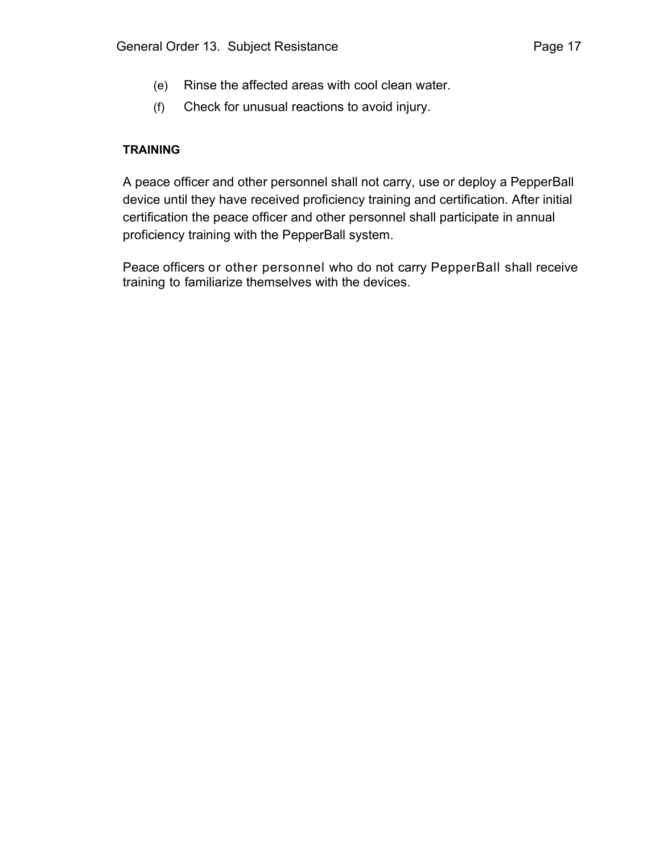- (e) Rinse the affected areas with cool clean water.
- (f) Check for unusual reactions to avoid injury.

# TRAINING

A peace officer and other personnel shall not carry, use or deploy a PepperBall device until they have received proficiency training and certification. After initial certification the peace officer and other personnel shall participate in annual proficiency training with the PepperBall system.

Peace officers or other personnel who do not carry PepperBall shall receive training to familiarize themselves with the devices.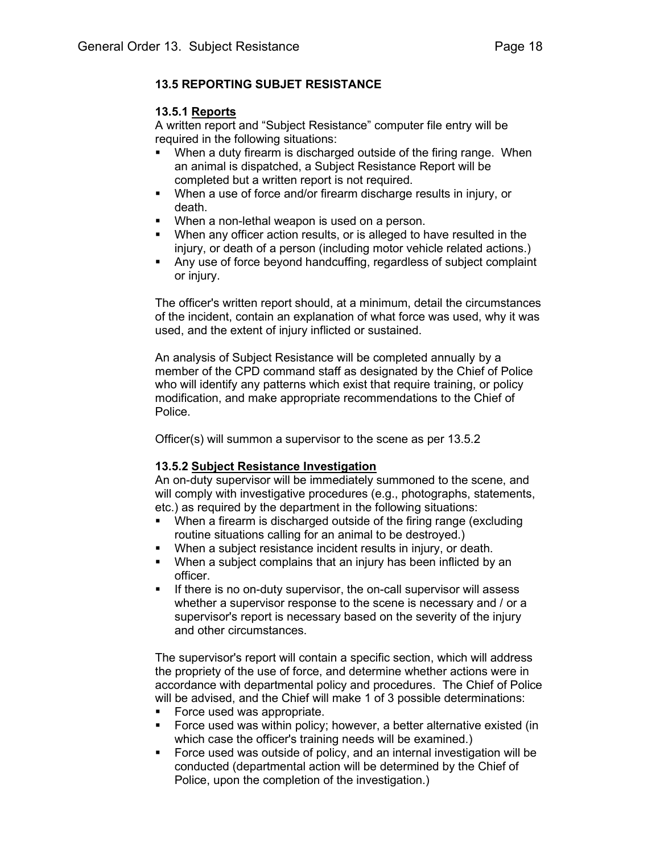# 13.5 REPORTING SUBJET RESISTANCE

# 13.5.1 Reports

A written report and "Subject Resistance" computer file entry will be required in the following situations:

- When a duty firearm is discharged outside of the firing range. When an animal is dispatched, a Subject Resistance Report will be completed but a written report is not required.
- When a use of force and/or firearm discharge results in injury, or death.
- **When a non-lethal weapon is used on a person.**
- When any officer action results, or is alleged to have resulted in the injury, or death of a person (including motor vehicle related actions.)
- Any use of force beyond handcuffing, regardless of subject complaint or injury.

The officer's written report should, at a minimum, detail the circumstances of the incident, contain an explanation of what force was used, why it was used, and the extent of injury inflicted or sustained.

An analysis of Subject Resistance will be completed annually by a member of the CPD command staff as designated by the Chief of Police who will identify any patterns which exist that require training, or policy modification, and make appropriate recommendations to the Chief of Police.

Officer(s) will summon a supervisor to the scene as per 13.5.2

# 13.5.2 Subject Resistance Investigation

An on-duty supervisor will be immediately summoned to the scene, and will comply with investigative procedures (e.g., photographs, statements, etc.) as required by the department in the following situations:

- When a firearm is discharged outside of the firing range (excluding routine situations calling for an animal to be destroyed.)
- When a subject resistance incident results in injury, or death.
- When a subject complains that an injury has been inflicted by an officer.
- If there is no on-duty supervisor, the on-call supervisor will assess whether a supervisor response to the scene is necessary and / or a supervisor's report is necessary based on the severity of the injury and other circumstances.

The supervisor's report will contain a specific section, which will address the propriety of the use of force, and determine whether actions were in accordance with departmental policy and procedures. The Chief of Police will be advised, and the Chief will make 1 of 3 possible determinations:

- Force used was appropriate.
- Force used was within policy; however, a better alternative existed (in which case the officer's training needs will be examined.)
- Force used was outside of policy, and an internal investigation will be conducted (departmental action will be determined by the Chief of Police, upon the completion of the investigation.)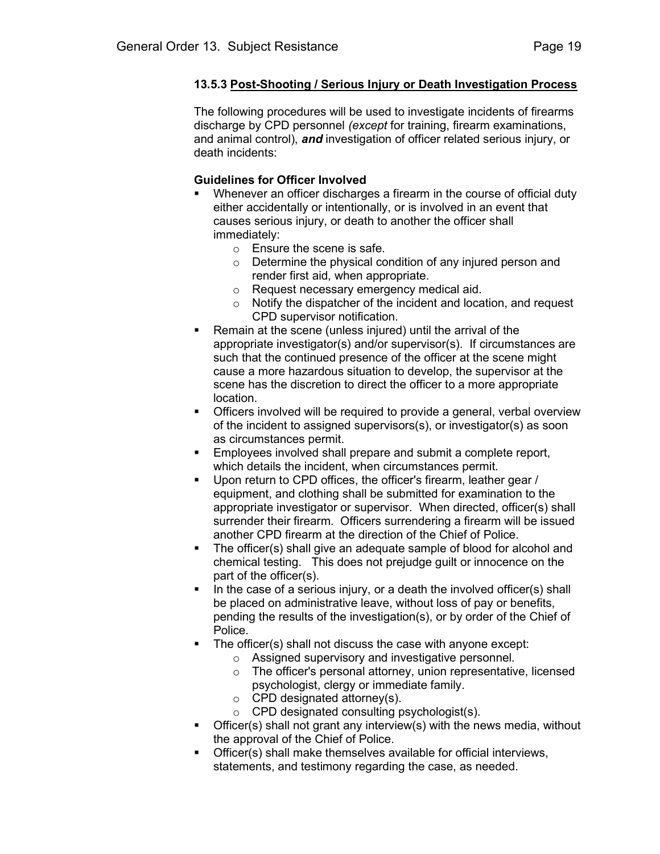The following procedures will be used to investigate incidents of firearms discharge by CPD personnel (except for training, firearm examinations, and animal control), and investigation of officer related serious injury, or death incidents:

# Guidelines for Officer Involved

- Whenever an officer discharges a firearm in the course of official duty either accidentally or intentionally, or is involved in an event that causes serious injury, or death to another the officer shall immediately:
	- o Ensure the scene is safe.
	- o Determine the physical condition of any injured person and render first aid, when appropriate.
	- o Request necessary emergency medical aid.
	- o Notify the dispatcher of the incident and location, and request CPD supervisor notification.
- Remain at the scene (unless injured) until the arrival of the appropriate investigator(s) and/or supervisor(s). If circumstances are such that the continued presence of the officer at the scene might cause a more hazardous situation to develop, the supervisor at the scene has the discretion to direct the officer to a more appropriate location.
- Officers involved will be required to provide a general, verbal overview of the incident to assigned supervisors(s), or investigator(s) as soon as circumstances permit.
- Employees involved shall prepare and submit a complete report, which details the incident, when circumstances permit.
- Upon return to CPD offices, the officer's firearm, leather gear / equipment, and clothing shall be submitted for examination to the appropriate investigator or supervisor. When directed, officer(s) shall surrender their firearm. Officers surrendering a firearm will be issued another CPD firearm at the direction of the Chief of Police.
- The officer(s) shall give an adequate sample of blood for alcohol and chemical testing. This does not prejudge guilt or innocence on the part of the officer(s).
- In the case of a serious injury, or a death the involved officer(s) shall be placed on administrative leave, without loss of pay or benefits, pending the results of the investigation(s), or by order of the Chief of Police.
- **The officer(s) shall not discuss the case with anyone except:** 
	- o Assigned supervisory and investigative personnel.
	- o The officer's personal attorney, union representative, licensed psychologist, clergy or immediate family.
	- $\circ$  CPD designated attorney(s).
	- o CPD designated consulting psychologist(s).
- Officer(s) shall not grant any interview(s) with the news media, without the approval of the Chief of Police.
- Officer(s) shall make themselves available for official interviews, statements, and testimony regarding the case, as needed.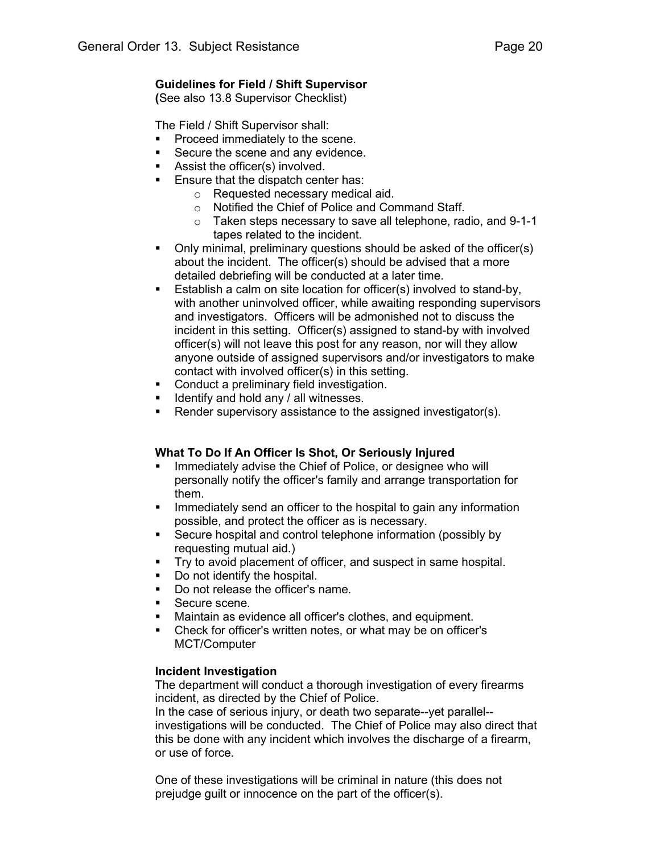# Guidelines for Field / Shift Supervisor

(See also 13.8 Supervisor Checklist)

The Field / Shift Supervisor shall:

- **Proceed immediately to the scene.**
- Secure the scene and any evidence.
- **Assist the officer(s) involved.**
- **Ensure that the dispatch center has:** 
	- o Requested necessary medical aid.
	- o Notified the Chief of Police and Command Staff.
	- o Taken steps necessary to save all telephone, radio, and 9-1-1 tapes related to the incident.
- Only minimal, preliminary questions should be asked of the officer(s) about the incident. The officer(s) should be advised that a more detailed debriefing will be conducted at a later time.
- **Establish a calm on site location for officer(s) involved to stand-by,** with another uninvolved officer, while awaiting responding supervisors and investigators. Officers will be admonished not to discuss the incident in this setting. Officer(s) assigned to stand-by with involved officer(s) will not leave this post for any reason, nor will they allow anyone outside of assigned supervisors and/or investigators to make contact with involved officer(s) in this setting.
- **Conduct a preliminary field investigation.**
- $\blacksquare$  Identify and hold any / all witnesses.
- **Render supervisory assistance to the assigned investigator(s).**

# What To Do If An Officer Is Shot, Or Seriously Injured

- **IMMEDIATELY ADDETS INCOCOLET CONTER** Immediately advise the Chief of Police, or designee who will personally notify the officer's family and arrange transportation for them.
- **IMMED 11.5 Immediately send an officer to the hospital to gain any information** possible, and protect the officer as is necessary.
- **Secure hospital and control telephone information (possibly by** requesting mutual aid.)
- **Try to avoid placement of officer, and suspect in same hospital.**
- Do not identify the hospital.
- Do not release the officer's name.
- **Secure scene.**
- Maintain as evidence all officer's clothes, and equipment.
- Check for officer's written notes, or what may be on officer's MCT/Computer

# Incident Investigation

The department will conduct a thorough investigation of every firearms incident, as directed by the Chief of Police.

In the case of serious injury, or death two separate--yet parallel- investigations will be conducted. The Chief of Police may also direct that this be done with any incident which involves the discharge of a firearm, or use of force.

One of these investigations will be criminal in nature (this does not prejudge guilt or innocence on the part of the officer(s).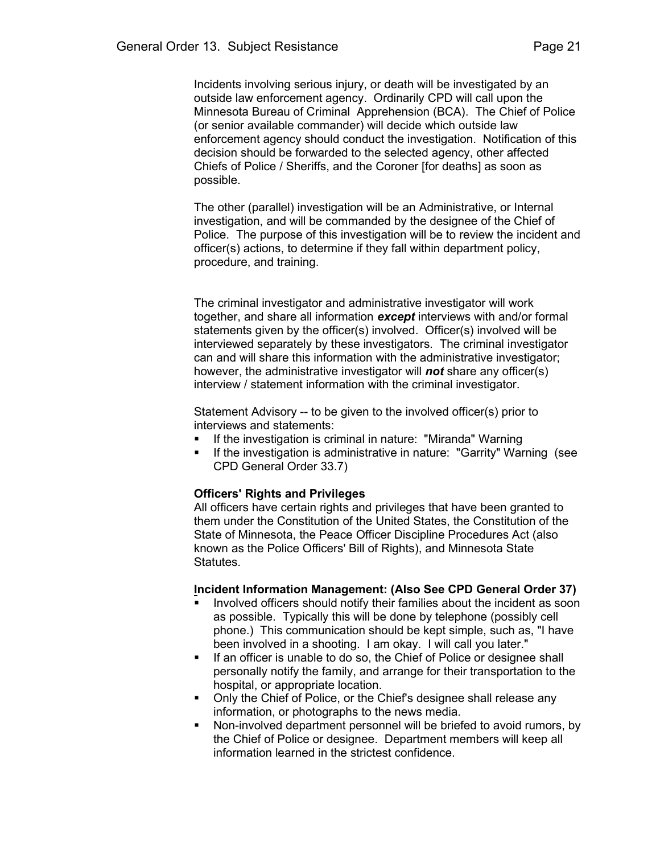Incidents involving serious injury, or death will be investigated by an outside law enforcement agency. Ordinarily CPD will call upon the Minnesota Bureau of Criminal Apprehension (BCA). The Chief of Police (or senior available commander) will decide which outside law enforcement agency should conduct the investigation. Notification of this decision should be forwarded to the selected agency, other affected Chiefs of Police / Sheriffs, and the Coroner [for deaths] as soon as possible.

The other (parallel) investigation will be an Administrative, or Internal investigation, and will be commanded by the designee of the Chief of Police. The purpose of this investigation will be to review the incident and officer(s) actions, to determine if they fall within department policy, procedure, and training.

The criminal investigator and administrative investigator will work together, and share all information **except** interviews with and/or formal statements given by the officer(s) involved. Officer(s) involved will be interviewed separately by these investigators. The criminal investigator can and will share this information with the administrative investigator; however, the administrative investigator will **not** share any officer(s) interview / statement information with the criminal investigator.

Statement Advisory -- to be given to the involved officer(s) prior to interviews and statements:

- If the investigation is criminal in nature: "Miranda" Warning
- **If the investigation is administrative in nature: "Garrity" Warning (see** CPD General Order 33.7)

### Officers' Rights and Privileges

All officers have certain rights and privileges that have been granted to them under the Constitution of the United States, the Constitution of the State of Minnesota, the Peace Officer Discipline Procedures Act (also known as the Police Officers' Bill of Rights), and Minnesota State Statutes.

### Incident Information Management: (Also See CPD General Order 37)

- Involved officers should notify their families about the incident as soon as possible. Typically this will be done by telephone (possibly cell phone.) This communication should be kept simple, such as, "I have been involved in a shooting. I am okay. I will call you later."
- If an officer is unable to do so, the Chief of Police or designee shall personally notify the family, and arrange for their transportation to the hospital, or appropriate location.
- Only the Chief of Police, or the Chief's designee shall release any information, or photographs to the news media.
- Non-involved department personnel will be briefed to avoid rumors, by the Chief of Police or designee. Department members will keep all information learned in the strictest confidence.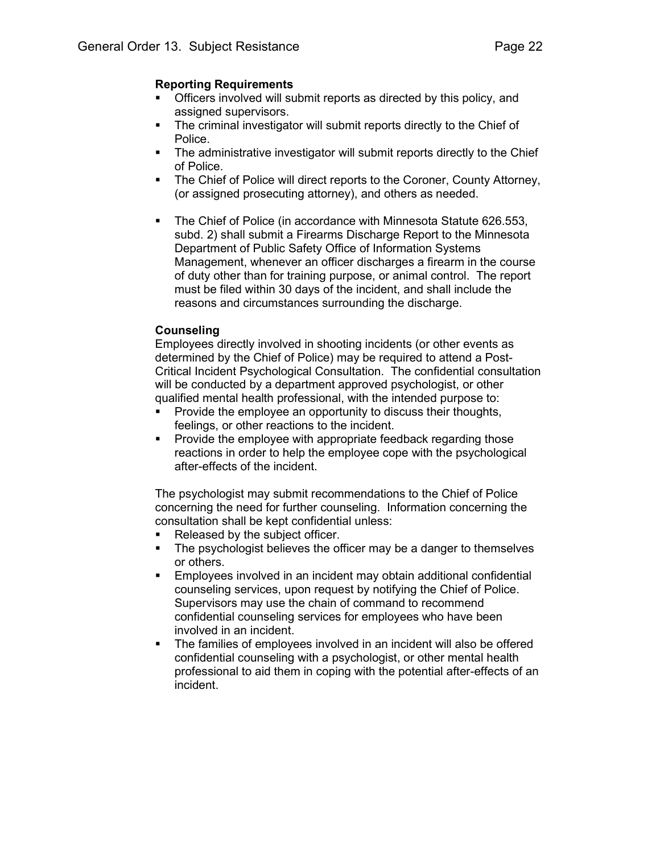### Reporting Requirements

- Officers involved will submit reports as directed by this policy, and assigned supervisors.
- The criminal investigator will submit reports directly to the Chief of Police.
- The administrative investigator will submit reports directly to the Chief of Police.
- The Chief of Police will direct reports to the Coroner, County Attorney, (or assigned prosecuting attorney), and others as needed.
- The Chief of Police (in accordance with Minnesota Statute 626.553, subd. 2) shall submit a Firearms Discharge Report to the Minnesota Department of Public Safety Office of Information Systems Management, whenever an officer discharges a firearm in the course of duty other than for training purpose, or animal control. The report must be filed within 30 days of the incident, and shall include the reasons and circumstances surrounding the discharge.

### **Counseling**

Employees directly involved in shooting incidents (or other events as determined by the Chief of Police) may be required to attend a Post-Critical Incident Psychological Consultation. The confidential consultation will be conducted by a department approved psychologist, or other qualified mental health professional, with the intended purpose to:

- **Provide the employee an opportunity to discuss their thoughts,** feelings, or other reactions to the incident.
- **Provide the employee with appropriate feedback regarding those** reactions in order to help the employee cope with the psychological after-effects of the incident.

The psychologist may submit recommendations to the Chief of Police concerning the need for further counseling. Information concerning the consultation shall be kept confidential unless:

- Released by the subject officer.
- The psychologist believes the officer may be a danger to themselves or others.
- **Employees involved in an incident may obtain additional confidential** counseling services, upon request by notifying the Chief of Police. Supervisors may use the chain of command to recommend confidential counseling services for employees who have been involved in an incident.
- The families of employees involved in an incident will also be offered confidential counseling with a psychologist, or other mental health professional to aid them in coping with the potential after-effects of an incident.